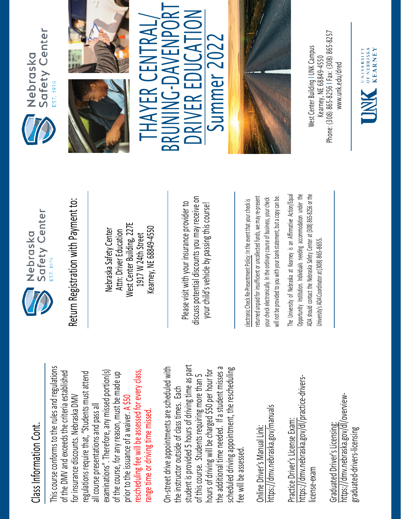## Class Information Cont. Class Information Cont.

This course conforms to the rules and regulations This course conforms to the rules and regulations rescheduling fee will be assessed for every class, examinations". Therefore, any missed portion(s) of the DMV and exceeds the criteria established regulations require that, "Students must attend of the DMV and exceeds the criteria established of the course, for any reason, must be made up rescheduling fee will be assessed for every class, regulations require that, "Students must attend examinations". Therefore, any missed portion(s) of the course, for any reason, must be made up for insurance discounts. Nebraska DMV for insurance discounts. Nebraska DMV prior to the issuance of a waiver. A \$50 all course presentations and pass all all course presentations and pass all range time or driving time missed. range time or driving time missed prior to the issuance of a waiver.

student is provided 5 hours of driving time as part On-street drive appointments are scheduled with student is provided 5 hours of driving time as part the additional time needed. If a student misses a scheduled driving appointment, the rescheduling the additional time needed. If a student misses a On-street drive appointments are scheduled with hours of driving will be charged \$50 per hour for scheduled driving appointment, the rescheduling hours of driving will be charged \$50 per hour for of this course. Students requiring more than 5 of this course. Students requiring more than 5 the instructor outside of class times. Each the instructor outside of class times. Each fee will be assessed. fee will be assessed

https://dmv.nebraska.gov/manuals https://dmv.nebraska.gov/manuals Online Driver's Manual Link: Online Driver's Manual Link:

https://dmv.nebraska.gov/dl/practice-drivershttps://dmv.nebraska.gov/dl/practice-drivers-Practice Driver's License Exam: Practice Driver's License Exam: license-exam icense-exam

https://dmv.nebraska.gov/dl/overviewhttps://dmv.nebraska.gov/dl/overview-Graduated Driver's Licensing: Graduated Driver's Licensing: graduated-drivers-licensing graduated-drivers-licensing



Nebraska Safety Center Attn: Driver Education West Center Building, 227E 1917 W 24th Street Kearney, NE 68849-4550

Please visit with your insurance provider to discuss potential discounts you may receive on potential discounts you may receive on your child's vehicle by passing this course! Return Registration with Payment to:<br>
Nebraska Safety Center<br>
Attn: Driver Education<br>
1917 W 24th Street<br>
Rearney, NE 68849-4550<br>
Rease visit with your insurance provider to<br>
Please visit with your insurance provider to<br>
y

returned unpaid for insufficient or uncollected funds, we may re-present a copy can be. returned unpaid for insufficient or uncollected funds, we may re-present will not be provided to you with your bank statement, but a copy can be. your check electronically. In the ordinary course of business, your check your check electronically. In the ordinary course of business, your check will not be provided to you with your bank statement, but

The University of Nebraska at Kearney is an Affirmative Action/Equal The University of Nebraska at Kearney is an Affirmative Action/Equal Opportunity Institution. Individuals needing accommodation under the ADA should contact the Nebraska Safety Center at (308) 865-8256 or the Opportunity Institution. Individuals needing accommodation under the ADA should contact the Nebraska Safety Center at (308) 865-8256 or the Jniversity's ADA Coordinator at (308) 865-8655. University's ADA Coordinator at (308) 86







THAYER CENTRAL THAYER CENTRAL/ BRUNING-DAVENPORT<br>DRIVER EDUCATION Summer 202 Summer 2022



Phone: (308) 865-8256 | Fax: (308) 865-8257 West Center Building I UNK Campus Nest Center Building I UNK Campus -8256 I Fax: (308) 865 Kearney, NE 68849-4550 www.unk.edu/dred [www.unk.edu/dred](http://www.unk.edu/dred) Kearney, NE 68849 Phone: (308) 865

UNIVERSITY<br>
OF NEBRASKA<br>
KFARNEY

**KEARNEY**